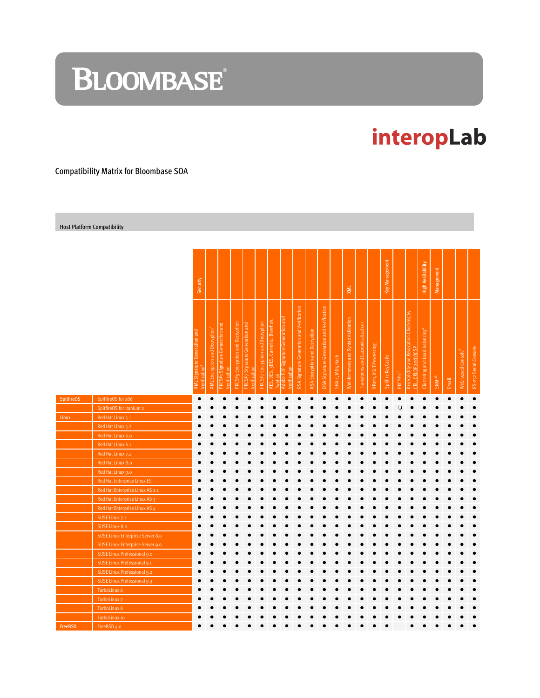# **BLOOMBASE**®

## interopLab

Compatibility Matrix for Bloombase SOA

Host Platform Compatibility

|                   |                                  | Security                                 |                                                         |                                                       |                                  |                                             |                                  |                                    |                                                    |                                           |                               |                                           |                 | XML                                 |                                  |                        | Key Management     |                      |                                                                        | <b>High Availability</b>                   | Management              |           |                                |                       |
|-------------------|----------------------------------|------------------------------------------|---------------------------------------------------------|-------------------------------------------------------|----------------------------------|---------------------------------------------|----------------------------------|------------------------------------|----------------------------------------------------|-------------------------------------------|-------------------------------|-------------------------------------------|-----------------|-------------------------------------|----------------------------------|------------------------|--------------------|----------------------|------------------------------------------------------------------------|--------------------------------------------|-------------------------|-----------|--------------------------------|-----------------------|
|                   |                                  | Signature Generation and<br>Verification | and Decryption <sup>2</sup><br>Encryption<br><b>NVX</b> | Signature Generation and<br>Verification<br>S#1<br>ĭΚ | PKCS#5 Encryption and Decryption | Generation and<br>Signature<br>Verification | PKCS#7 Encryption and Decryption | AES, DES, 3DES, Camellia, Blowfish | Adobe PDF Signature Generation and<br>Verification | RSA Signature Generation and Verification | RSA Encryption and Decryption | DSA Signature Generation and Verification | SHA-1, MD5 Hash | Well-formness and Syntax Validation | Transforms and Cacnonicalization | XPath, XSLT Processing | Spitfire KeyCastle | PKCSH11 <sup>3</sup> | Key Validity and Revocation Checking by<br>CRLDP and OCSP<br><b>ed</b> | Clustering and Load-balancing <sup>4</sup> | <b>SNMP<sup>5</sup></b> | Email     | Web-based Console <sup>6</sup> | RS-232 Serial Console |
| <b>SpitfireOS</b> | SpitfireOS for x86               | $\bullet$                                |                                                         | $\bullet$                                             | $\bullet$                        |                                             | Ċ                                | $\bullet$                          |                                                    |                                           | $\bullet$                     | $\bullet$                                 | $\bullet$       | $\bullet$                           | $\bullet$                        | $\bullet$              | $\bullet$          | Ò                    |                                                                        |                                            | $\bullet$               | $\bullet$ | $\bullet$                      | $\bullet$             |
|                   | SpitfireOS for Itanium 2         |                                          |                                                         |                                                       |                                  |                                             |                                  |                                    |                                                    |                                           |                               |                                           |                 |                                     |                                  |                        |                    | Q                    |                                                                        |                                            |                         |           |                                |                       |
| Linux             | Red Hat Linux 5.1                |                                          |                                                         |                                                       |                                  |                                             |                                  |                                    |                                                    |                                           |                               |                                           |                 |                                     |                                  |                        |                    |                      |                                                                        |                                            |                         |           |                                |                       |
|                   | Red Hat Linux 5.2                |                                          |                                                         |                                                       |                                  |                                             |                                  |                                    |                                                    |                                           |                               |                                           |                 |                                     |                                  |                        |                    |                      |                                                                        |                                            |                         |           |                                |                       |
|                   | Red Hat Linux 6.0                |                                          |                                                         |                                                       |                                  |                                             |                                  |                                    |                                                    |                                           |                               |                                           |                 |                                     |                                  |                        |                    |                      |                                                                        |                                            |                         |           |                                |                       |
|                   | Red Hat Linux 6.1                |                                          |                                                         |                                                       |                                  |                                             |                                  |                                    |                                                    |                                           |                               |                                           |                 |                                     |                                  |                        |                    |                      |                                                                        |                                            |                         |           |                                |                       |
|                   | Red Hat Linux 7.2                |                                          |                                                         |                                                       |                                  |                                             |                                  |                                    |                                                    |                                           |                               |                                           |                 |                                     |                                  |                        |                    |                      |                                                                        |                                            |                         |           |                                |                       |
|                   | Red Hat Linux 8.0                |                                          |                                                         |                                                       |                                  |                                             |                                  |                                    |                                                    |                                           |                               |                                           |                 |                                     |                                  |                        |                    |                      |                                                                        |                                            |                         |           |                                |                       |
|                   | Red Hat Linux 9.0                |                                          |                                                         |                                                       |                                  |                                             |                                  |                                    |                                                    |                                           |                               |                                           |                 |                                     |                                  |                        |                    |                      |                                                                        |                                            |                         |           |                                |                       |
|                   | Red Hat Enterprise Linux ES      |                                          |                                                         |                                                       |                                  |                                             |                                  |                                    |                                                    |                                           |                               |                                           |                 |                                     |                                  |                        |                    |                      |                                                                        |                                            |                         |           |                                |                       |
|                   | Red Hat Enterprise Linux AS 2.1  |                                          |                                                         |                                                       |                                  |                                             |                                  |                                    |                                                    |                                           |                               |                                           |                 |                                     |                                  |                        |                    |                      |                                                                        |                                            |                         |           |                                |                       |
|                   | Red Hat Enterprise Linux AS 3    |                                          |                                                         |                                                       |                                  |                                             |                                  |                                    |                                                    |                                           |                               |                                           |                 |                                     |                                  |                        |                    |                      |                                                                        |                                            |                         |           |                                |                       |
|                   | Red Hat Enterprise Linux AS 4    |                                          |                                                         |                                                       |                                  |                                             |                                  |                                    |                                                    |                                           |                               |                                           |                 |                                     |                                  |                        |                    |                      |                                                                        |                                            |                         |           |                                |                       |
|                   | SUSE Linux 7.2                   |                                          |                                                         |                                                       |                                  |                                             |                                  |                                    |                                                    |                                           |                               |                                           |                 |                                     |                                  |                        |                    |                      |                                                                        |                                            |                         |           |                                |                       |
|                   | SUSE Linux 8.0                   |                                          |                                                         |                                                       |                                  |                                             |                                  |                                    |                                                    |                                           |                               |                                           |                 |                                     |                                  |                        |                    |                      |                                                                        |                                            |                         |           |                                |                       |
|                   | SUSE Linux Enterprise Server 8.0 |                                          |                                                         |                                                       |                                  |                                             |                                  |                                    |                                                    |                                           |                               |                                           |                 |                                     |                                  |                        |                    |                      |                                                                        |                                            |                         |           |                                |                       |
|                   | SUSE Linux Enterprise Server 9.0 |                                          |                                                         |                                                       |                                  |                                             |                                  |                                    |                                                    |                                           |                               |                                           |                 |                                     |                                  |                        |                    |                      |                                                                        |                                            |                         |           |                                |                       |
|                   | SUSE Linux Professional 9.0      |                                          |                                                         |                                                       |                                  |                                             |                                  |                                    |                                                    |                                           |                               |                                           |                 |                                     |                                  |                        |                    |                      |                                                                        |                                            |                         |           |                                |                       |
|                   | SUSE Linux Professional 9.1      |                                          |                                                         |                                                       |                                  |                                             |                                  |                                    |                                                    |                                           |                               |                                           |                 |                                     |                                  |                        |                    |                      |                                                                        |                                            |                         |           |                                |                       |
|                   | SUSE Linux Professional 9.2      |                                          |                                                         |                                                       |                                  |                                             |                                  |                                    |                                                    |                                           |                               |                                           |                 |                                     |                                  |                        |                    |                      |                                                                        |                                            |                         |           |                                |                       |
|                   | SUSE Linux Professional 9.3      |                                          |                                                         |                                                       |                                  |                                             |                                  |                                    |                                                    |                                           |                               |                                           |                 |                                     |                                  |                        |                    |                      |                                                                        |                                            |                         |           |                                |                       |
|                   | TurboLinux 6                     |                                          |                                                         |                                                       |                                  |                                             |                                  |                                    |                                                    |                                           |                               |                                           |                 |                                     |                                  |                        |                    |                      |                                                                        |                                            |                         |           |                                |                       |
|                   | TurboLinux 7                     |                                          |                                                         |                                                       |                                  |                                             |                                  |                                    |                                                    |                                           |                               |                                           |                 |                                     |                                  |                        |                    |                      |                                                                        |                                            |                         |           |                                |                       |
|                   | TurboLinux 8                     |                                          |                                                         |                                                       |                                  |                                             |                                  |                                    |                                                    |                                           |                               |                                           |                 |                                     |                                  |                        |                    |                      |                                                                        |                                            |                         |           |                                |                       |
|                   | TurboLinux 10                    |                                          |                                                         |                                                       |                                  |                                             |                                  |                                    |                                                    |                                           |                               |                                           |                 |                                     |                                  |                        |                    |                      |                                                                        |                                            |                         |           |                                |                       |
| FreeBSD           | FreeBSD 4.0                      |                                          |                                                         |                                                       |                                  |                                             |                                  |                                    |                                                    |                                           |                               |                                           |                 |                                     |                                  |                        |                    |                      |                                                                        |                                            |                         |           |                                |                       |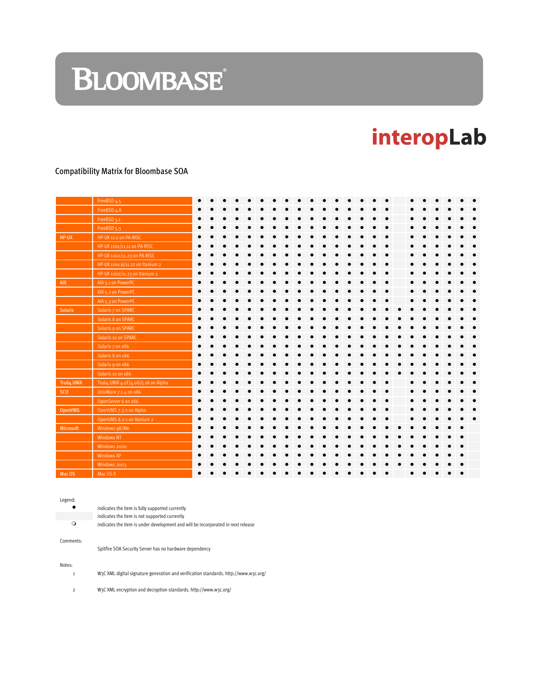# **BLOOMBASE**

## interopLab

### Compatibility Matrix for Bloombase SOA

|                | FreeBSD 4.5                        |  |  |  |  |  |  |  |  |  |  |  |  |
|----------------|------------------------------------|--|--|--|--|--|--|--|--|--|--|--|--|
|                | FreeBSD 4.8                        |  |  |  |  |  |  |  |  |  |  |  |  |
|                | FreeBSD 5.1                        |  |  |  |  |  |  |  |  |  |  |  |  |
|                | FreeBSD 5.3                        |  |  |  |  |  |  |  |  |  |  |  |  |
| HP-UX          | HP-UX 11.0 on PA-RISC              |  |  |  |  |  |  |  |  |  |  |  |  |
|                | HP-UX 11iv1/11.11 on PA-RISC       |  |  |  |  |  |  |  |  |  |  |  |  |
|                | HP-UX 11iv2/11.23 on PA-RISC       |  |  |  |  |  |  |  |  |  |  |  |  |
|                | HP-UX 11iv1.6/11.22 on Itanium 2   |  |  |  |  |  |  |  |  |  |  |  |  |
|                | HP-UX 11iv2/11.23 on Itanium 2     |  |  |  |  |  |  |  |  |  |  |  |  |
| <b>AIX</b>     | AIX 5.1 on PowerPC                 |  |  |  |  |  |  |  |  |  |  |  |  |
|                | AIX 5.2 on PowerPC                 |  |  |  |  |  |  |  |  |  |  |  |  |
|                | AIX 5.3 on PowerPC                 |  |  |  |  |  |  |  |  |  |  |  |  |
| <b>Solaris</b> | Solaris 7 on SPARC                 |  |  |  |  |  |  |  |  |  |  |  |  |
|                | Solaris 8 on SPARC                 |  |  |  |  |  |  |  |  |  |  |  |  |
|                | Solaris 9 on SPARC                 |  |  |  |  |  |  |  |  |  |  |  |  |
|                | Solaris 10 on SPARC                |  |  |  |  |  |  |  |  |  |  |  |  |
|                | Solaris 7 on x86                   |  |  |  |  |  |  |  |  |  |  |  |  |
|                | Solaris 8 on x86                   |  |  |  |  |  |  |  |  |  |  |  |  |
|                | Solaris 9 on x86                   |  |  |  |  |  |  |  |  |  |  |  |  |
|                | Solaris 10 on x86                  |  |  |  |  |  |  |  |  |  |  |  |  |
| Tru64 UNIX     | Tru64 UNIX 4.0F/4.0G/5.1A on Alpha |  |  |  |  |  |  |  |  |  |  |  |  |
| <b>SCO</b>     | UnixWare 7.1.4 on x86              |  |  |  |  |  |  |  |  |  |  |  |  |
|                | OpenServer 6 on x86                |  |  |  |  |  |  |  |  |  |  |  |  |
| OpenVMS        | OpenVMS 7.3-2 on Alpha             |  |  |  |  |  |  |  |  |  |  |  |  |
|                | OpenVMS 8.2-1 on Itanium 2         |  |  |  |  |  |  |  |  |  |  |  |  |
| Microsoft      | Windows 98/Me                      |  |  |  |  |  |  |  |  |  |  |  |  |
|                | <b>Windows NT</b>                  |  |  |  |  |  |  |  |  |  |  |  |  |
|                | Windows 2000                       |  |  |  |  |  |  |  |  |  |  |  |  |
|                | Windows XP                         |  |  |  |  |  |  |  |  |  |  |  |  |
|                | Windows 2003                       |  |  |  |  |  |  |  |  |  |  |  |  |
| Mac OS         | Mac OS X                           |  |  |  |  |  |  |  |  |  |  |  |  |

Legend:

|           | indicates the item is fully supported currently                                  |
|-----------|----------------------------------------------------------------------------------|
|           | indicates the item is not supported currently                                    |
| O         | indicates the item is under development and will be incorporated in next release |
| Comments: |                                                                                  |

Spitfire SOA Security Server has no hardware dependency

### Notes:

1 W3C XML digital signature generation and verification standards. http://www.w3c.org/

2 W3C XML encryption and decryption standards. http://www.w3c.org/